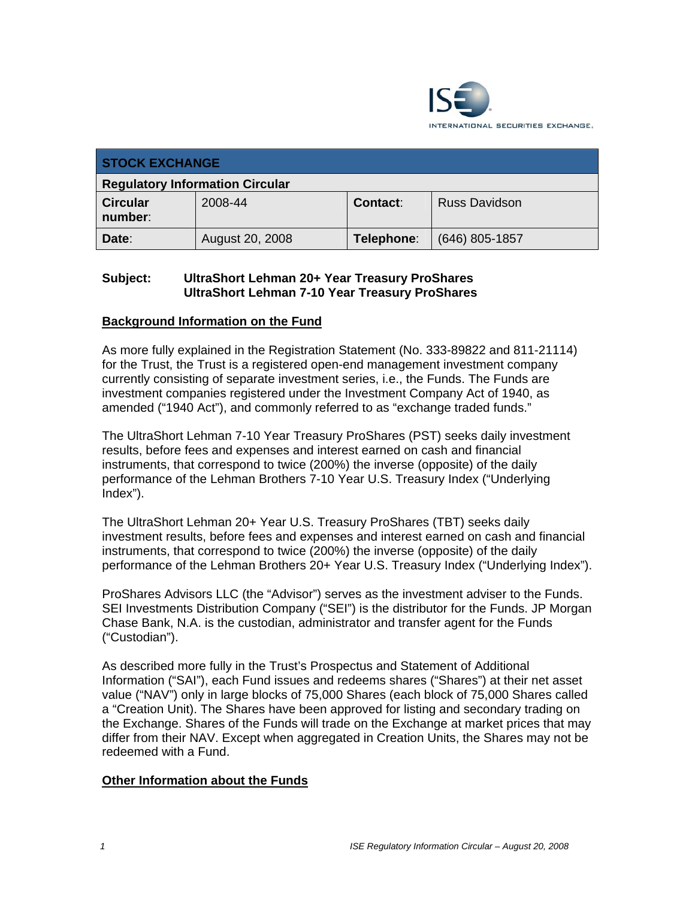

| <b>STOCK EXCHANGE</b>                  |                 |            |                      |  |  |
|----------------------------------------|-----------------|------------|----------------------|--|--|
| <b>Regulatory Information Circular</b> |                 |            |                      |  |  |
| <b>Circular</b><br>number:             | 2008-44         | Contact:   | <b>Russ Davidson</b> |  |  |
| Date:                                  | August 20, 2008 | Telephone: | $(646)$ 805-1857     |  |  |

## **Subject: UltraShort Lehman 20+ Year Treasury ProShares UltraShort Lehman 7-10 Year Treasury ProShares**

# **Background Information on the Fund**

As more fully explained in the Registration Statement (No. 333-89822 and 811-21114) for the Trust, the Trust is a registered open-end management investment company currently consisting of separate investment series, i.e., the Funds. The Funds are investment companies registered under the Investment Company Act of 1940, as amended ("1940 Act"), and commonly referred to as "exchange traded funds."

The UltraShort Lehman 7-10 Year Treasury ProShares (PST) seeks daily investment results, before fees and expenses and interest earned on cash and financial instruments, that correspond to twice (200%) the inverse (opposite) of the daily performance of the Lehman Brothers 7-10 Year U.S. Treasury Index ("Underlying Index").

The UltraShort Lehman 20+ Year U.S. Treasury ProShares (TBT) seeks daily investment results, before fees and expenses and interest earned on cash and financial instruments, that correspond to twice (200%) the inverse (opposite) of the daily performance of the Lehman Brothers 20+ Year U.S. Treasury Index ("Underlying Index").

ProShares Advisors LLC (the "Advisor") serves as the investment adviser to the Funds. SEI Investments Distribution Company ("SEI") is the distributor for the Funds. JP Morgan Chase Bank, N.A. is the custodian, administrator and transfer agent for the Funds ("Custodian").

As described more fully in the Trust's Prospectus and Statement of Additional Information ("SAI"), each Fund issues and redeems shares ("Shares") at their net asset value ("NAV") only in large blocks of 75,000 Shares (each block of 75,000 Shares called a "Creation Unit). The Shares have been approved for listing and secondary trading on the Exchange. Shares of the Funds will trade on the Exchange at market prices that may differ from their NAV. Except when aggregated in Creation Units, the Shares may not be redeemed with a Fund.

### **Other Information about the Funds**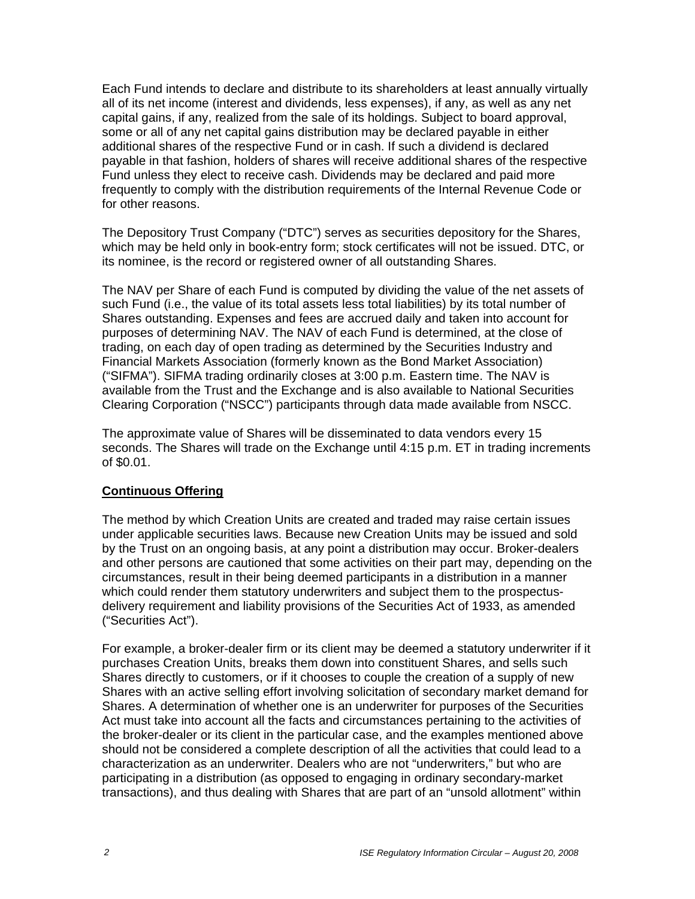Each Fund intends to declare and distribute to its shareholders at least annually virtually all of its net income (interest and dividends, less expenses), if any, as well as any net capital gains, if any, realized from the sale of its holdings. Subject to board approval, some or all of any net capital gains distribution may be declared payable in either additional shares of the respective Fund or in cash. If such a dividend is declared payable in that fashion, holders of shares will receive additional shares of the respective Fund unless they elect to receive cash. Dividends may be declared and paid more frequently to comply with the distribution requirements of the Internal Revenue Code or for other reasons.

The Depository Trust Company ("DTC") serves as securities depository for the Shares, which may be held only in book-entry form; stock certificates will not be issued. DTC, or its nominee, is the record or registered owner of all outstanding Shares.

The NAV per Share of each Fund is computed by dividing the value of the net assets of such Fund (i.e., the value of its total assets less total liabilities) by its total number of Shares outstanding. Expenses and fees are accrued daily and taken into account for purposes of determining NAV. The NAV of each Fund is determined, at the close of trading, on each day of open trading as determined by the Securities Industry and Financial Markets Association (formerly known as the Bond Market Association) ("SIFMA"). SIFMA trading ordinarily closes at 3:00 p.m. Eastern time. The NAV is available from the Trust and the Exchange and is also available to National Securities Clearing Corporation ("NSCC") participants through data made available from NSCC.

The approximate value of Shares will be disseminated to data vendors every 15 seconds. The Shares will trade on the Exchange until 4:15 p.m. ET in trading increments of \$0.01.

#### **Continuous Offering**

The method by which Creation Units are created and traded may raise certain issues under applicable securities laws. Because new Creation Units may be issued and sold by the Trust on an ongoing basis, at any point a distribution may occur. Broker-dealers and other persons are cautioned that some activities on their part may, depending on the circumstances, result in their being deemed participants in a distribution in a manner which could render them statutory underwriters and subject them to the prospectusdelivery requirement and liability provisions of the Securities Act of 1933, as amended ("Securities Act").

For example, a broker-dealer firm or its client may be deemed a statutory underwriter if it purchases Creation Units, breaks them down into constituent Shares, and sells such Shares directly to customers, or if it chooses to couple the creation of a supply of new Shares with an active selling effort involving solicitation of secondary market demand for Shares. A determination of whether one is an underwriter for purposes of the Securities Act must take into account all the facts and circumstances pertaining to the activities of the broker-dealer or its client in the particular case, and the examples mentioned above should not be considered a complete description of all the activities that could lead to a characterization as an underwriter. Dealers who are not "underwriters," but who are participating in a distribution (as opposed to engaging in ordinary secondary-market transactions), and thus dealing with Shares that are part of an "unsold allotment" within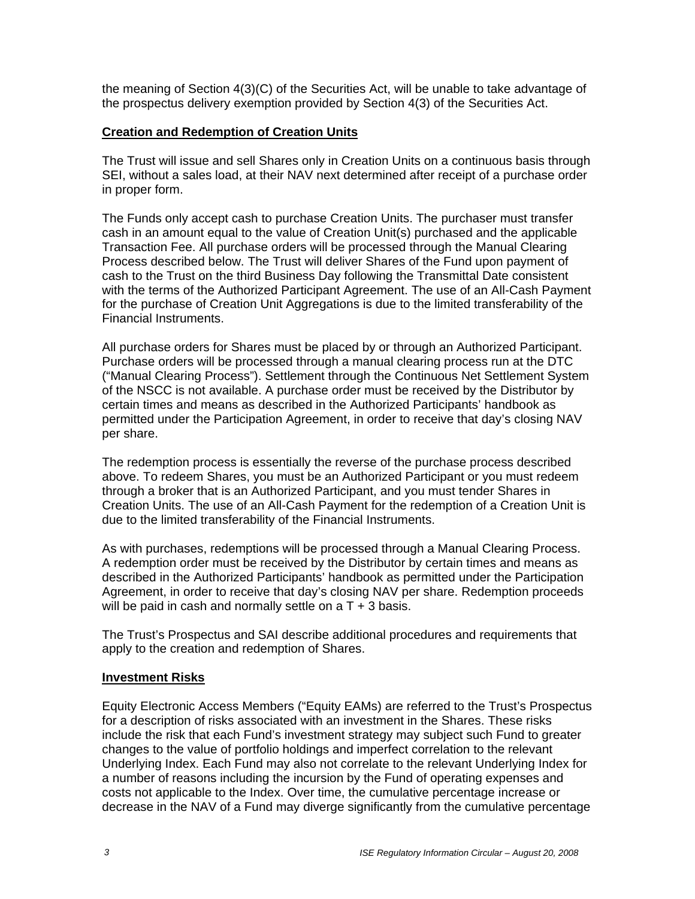the meaning of Section 4(3)(C) of the Securities Act, will be unable to take advantage of the prospectus delivery exemption provided by Section 4(3) of the Securities Act.

#### **Creation and Redemption of Creation Units**

The Trust will issue and sell Shares only in Creation Units on a continuous basis through SEI, without a sales load, at their NAV next determined after receipt of a purchase order in proper form.

The Funds only accept cash to purchase Creation Units. The purchaser must transfer cash in an amount equal to the value of Creation Unit(s) purchased and the applicable Transaction Fee. All purchase orders will be processed through the Manual Clearing Process described below. The Trust will deliver Shares of the Fund upon payment of cash to the Trust on the third Business Day following the Transmittal Date consistent with the terms of the Authorized Participant Agreement. The use of an All-Cash Payment for the purchase of Creation Unit Aggregations is due to the limited transferability of the Financial Instruments.

All purchase orders for Shares must be placed by or through an Authorized Participant. Purchase orders will be processed through a manual clearing process run at the DTC ("Manual Clearing Process"). Settlement through the Continuous Net Settlement System of the NSCC is not available. A purchase order must be received by the Distributor by certain times and means as described in the Authorized Participants' handbook as permitted under the Participation Agreement, in order to receive that day's closing NAV per share.

The redemption process is essentially the reverse of the purchase process described above. To redeem Shares, you must be an Authorized Participant or you must redeem through a broker that is an Authorized Participant, and you must tender Shares in Creation Units. The use of an All-Cash Payment for the redemption of a Creation Unit is due to the limited transferability of the Financial Instruments.

As with purchases, redemptions will be processed through a Manual Clearing Process. A redemption order must be received by the Distributor by certain times and means as described in the Authorized Participants' handbook as permitted under the Participation Agreement, in order to receive that day's closing NAV per share. Redemption proceeds will be paid in cash and normally settle on  $aT + 3$  basis.

The Trust's Prospectus and SAI describe additional procedures and requirements that apply to the creation and redemption of Shares.

#### **Investment Risks**

Equity Electronic Access Members ("Equity EAMs) are referred to the Trust's Prospectus for a description of risks associated with an investment in the Shares. These risks include the risk that each Fund's investment strategy may subject such Fund to greater changes to the value of portfolio holdings and imperfect correlation to the relevant Underlying Index. Each Fund may also not correlate to the relevant Underlying Index for a number of reasons including the incursion by the Fund of operating expenses and costs not applicable to the Index. Over time, the cumulative percentage increase or decrease in the NAV of a Fund may diverge significantly from the cumulative percentage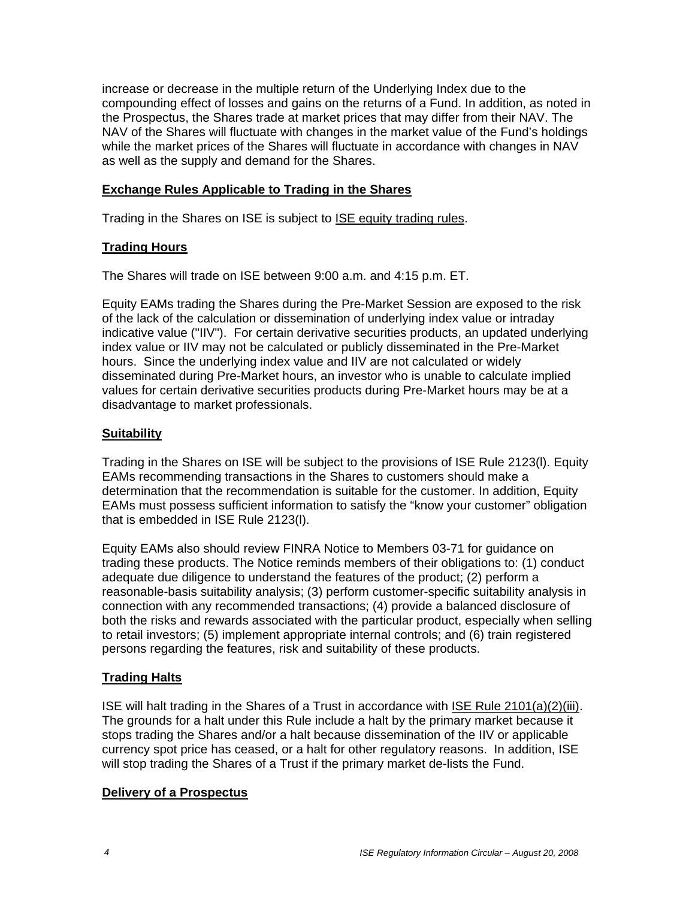increase or decrease in the multiple return of the Underlying Index due to the compounding effect of losses and gains on the returns of a Fund. In addition, as noted in the Prospectus, the Shares trade at market prices that may differ from their NAV. The NAV of the Shares will fluctuate with changes in the market value of the Fund's holdings while the market prices of the Shares will fluctuate in accordance with changes in NAV as well as the supply and demand for the Shares.

## **Exchange Rules Applicable to Trading in the Shares**

Trading in the Shares on ISE is subject to ISE equity trading rules.

### **Trading Hours**

The Shares will trade on ISE between 9:00 a.m. and 4:15 p.m. ET.

Equity EAMs trading the Shares during the Pre-Market Session are exposed to the risk of the lack of the calculation or dissemination of underlying index value or intraday indicative value ("IIV"). For certain derivative securities products, an updated underlying index value or IIV may not be calculated or publicly disseminated in the Pre-Market hours. Since the underlying index value and IIV are not calculated or widely disseminated during Pre-Market hours, an investor who is unable to calculate implied values for certain derivative securities products during Pre-Market hours may be at a disadvantage to market professionals.

# **Suitability**

Trading in the Shares on ISE will be subject to the provisions of ISE Rule 2123(l). Equity EAMs recommending transactions in the Shares to customers should make a determination that the recommendation is suitable for the customer. In addition, Equity EAMs must possess sufficient information to satisfy the "know your customer" obligation that is embedded in ISE Rule 2123(l).

Equity EAMs also should review FINRA Notice to Members 03-71 for guidance on trading these products. The Notice reminds members of their obligations to: (1) conduct adequate due diligence to understand the features of the product; (2) perform a reasonable-basis suitability analysis; (3) perform customer-specific suitability analysis in connection with any recommended transactions; (4) provide a balanced disclosure of both the risks and rewards associated with the particular product, especially when selling to retail investors; (5) implement appropriate internal controls; and (6) train registered persons regarding the features, risk and suitability of these products.

### **Trading Halts**

ISE will halt trading in the Shares of a Trust in accordance with ISE Rule 2101(a)(2)(iii). The grounds for a halt under this Rule include a halt by the primary market because it stops trading the Shares and/or a halt because dissemination of the IIV or applicable currency spot price has ceased, or a halt for other regulatory reasons. In addition, ISE will stop trading the Shares of a Trust if the primary market de-lists the Fund.

### **Delivery of a Prospectus**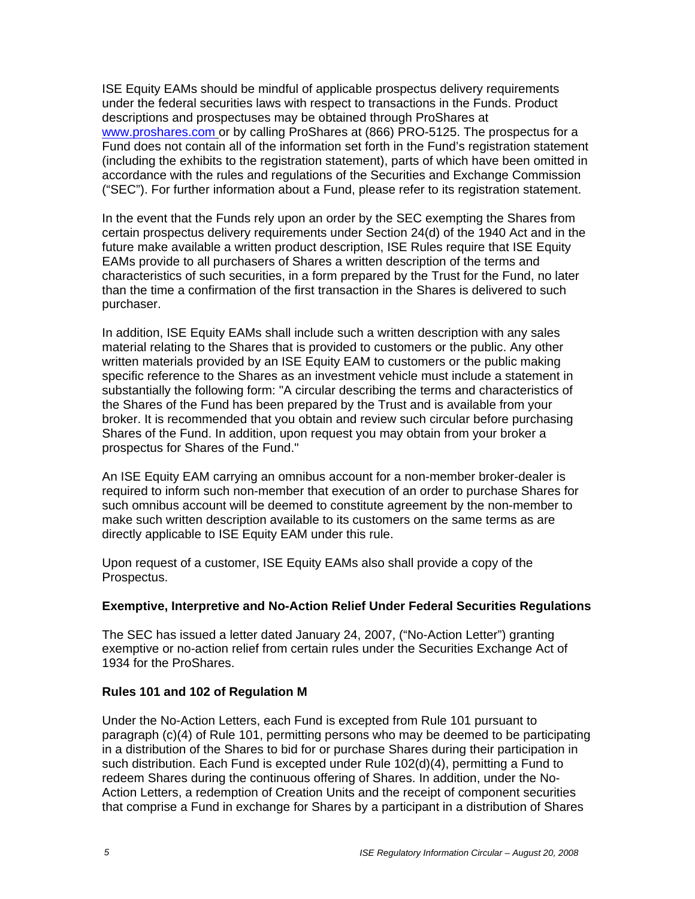ISE Equity EAMs should be mindful of applicable prospectus delivery requirements under the federal securities laws with respect to transactions in the Funds. Product descriptions and prospectuses may be obtained through ProShares at www.proshares.com or by calling ProShares at (866) PRO-5125. The prospectus for a Fund does not contain all of the information set forth in the Fund's registration statement (including the exhibits to the registration statement), parts of which have been omitted in accordance with the rules and regulations of the Securities and Exchange Commission ("SEC"). For further information about a Fund, please refer to its registration statement.

In the event that the Funds rely upon an order by the SEC exempting the Shares from certain prospectus delivery requirements under Section 24(d) of the 1940 Act and in the future make available a written product description, ISE Rules require that ISE Equity EAMs provide to all purchasers of Shares a written description of the terms and characteristics of such securities, in a form prepared by the Trust for the Fund, no later than the time a confirmation of the first transaction in the Shares is delivered to such purchaser.

In addition, ISE Equity EAMs shall include such a written description with any sales material relating to the Shares that is provided to customers or the public. Any other written materials provided by an ISE Equity EAM to customers or the public making specific reference to the Shares as an investment vehicle must include a statement in substantially the following form: "A circular describing the terms and characteristics of the Shares of the Fund has been prepared by the Trust and is available from your broker. It is recommended that you obtain and review such circular before purchasing Shares of the Fund. In addition, upon request you may obtain from your broker a prospectus for Shares of the Fund."

An ISE Equity EAM carrying an omnibus account for a non-member broker-dealer is required to inform such non-member that execution of an order to purchase Shares for such omnibus account will be deemed to constitute agreement by the non-member to make such written description available to its customers on the same terms as are directly applicable to ISE Equity EAM under this rule.

Upon request of a customer, ISE Equity EAMs also shall provide a copy of the Prospectus.

### **Exemptive, Interpretive and No-Action Relief Under Federal Securities Regulations**

The SEC has issued a letter dated January 24, 2007, ("No-Action Letter") granting exemptive or no-action relief from certain rules under the Securities Exchange Act of 1934 for the ProShares.

### **Rules 101 and 102 of Regulation M**

Under the No-Action Letters, each Fund is excepted from Rule 101 pursuant to paragraph (c)(4) of Rule 101, permitting persons who may be deemed to be participating in a distribution of the Shares to bid for or purchase Shares during their participation in such distribution. Each Fund is excepted under Rule 102(d)(4), permitting a Fund to redeem Shares during the continuous offering of Shares. In addition, under the No-Action Letters, a redemption of Creation Units and the receipt of component securities that comprise a Fund in exchange for Shares by a participant in a distribution of Shares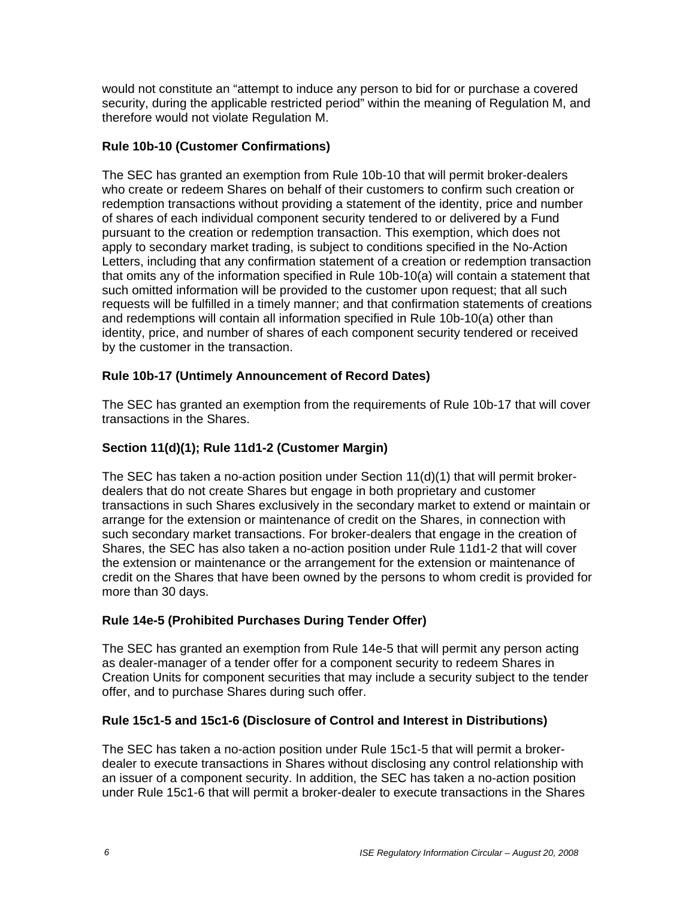would not constitute an "attempt to induce any person to bid for or purchase a covered security, during the applicable restricted period" within the meaning of Regulation M, and therefore would not violate Regulation M.

# **Rule 10b-10 (Customer Confirmations)**

The SEC has granted an exemption from Rule 10b-10 that will permit broker-dealers who create or redeem Shares on behalf of their customers to confirm such creation or redemption transactions without providing a statement of the identity, price and number of shares of each individual component security tendered to or delivered by a Fund pursuant to the creation or redemption transaction. This exemption, which does not apply to secondary market trading, is subject to conditions specified in the No-Action Letters, including that any confirmation statement of a creation or redemption transaction that omits any of the information specified in Rule 10b-10(a) will contain a statement that such omitted information will be provided to the customer upon request; that all such requests will be fulfilled in a timely manner; and that confirmation statements of creations and redemptions will contain all information specified in Rule 10b-10(a) other than identity, price, and number of shares of each component security tendered or received by the customer in the transaction.

# **Rule 10b-17 (Untimely Announcement of Record Dates)**

The SEC has granted an exemption from the requirements of Rule 10b-17 that will cover transactions in the Shares.

# **Section 11(d)(1); Rule 11d1-2 (Customer Margin)**

The SEC has taken a no-action position under Section 11(d)(1) that will permit brokerdealers that do not create Shares but engage in both proprietary and customer transactions in such Shares exclusively in the secondary market to extend or maintain or arrange for the extension or maintenance of credit on the Shares, in connection with such secondary market transactions. For broker-dealers that engage in the creation of Shares, the SEC has also taken a no-action position under Rule 11d1-2 that will cover the extension or maintenance or the arrangement for the extension or maintenance of credit on the Shares that have been owned by the persons to whom credit is provided for more than 30 days.

# **Rule 14e-5 (Prohibited Purchases During Tender Offer)**

The SEC has granted an exemption from Rule 14e-5 that will permit any person acting as dealer-manager of a tender offer for a component security to redeem Shares in Creation Units for component securities that may include a security subject to the tender offer, and to purchase Shares during such offer.

# **Rule 15c1-5 and 15c1-6 (Disclosure of Control and Interest in Distributions)**

The SEC has taken a no-action position under Rule 15c1-5 that will permit a brokerdealer to execute transactions in Shares without disclosing any control relationship with an issuer of a component security. In addition, the SEC has taken a no-action position under Rule 15c1-6 that will permit a broker-dealer to execute transactions in the Shares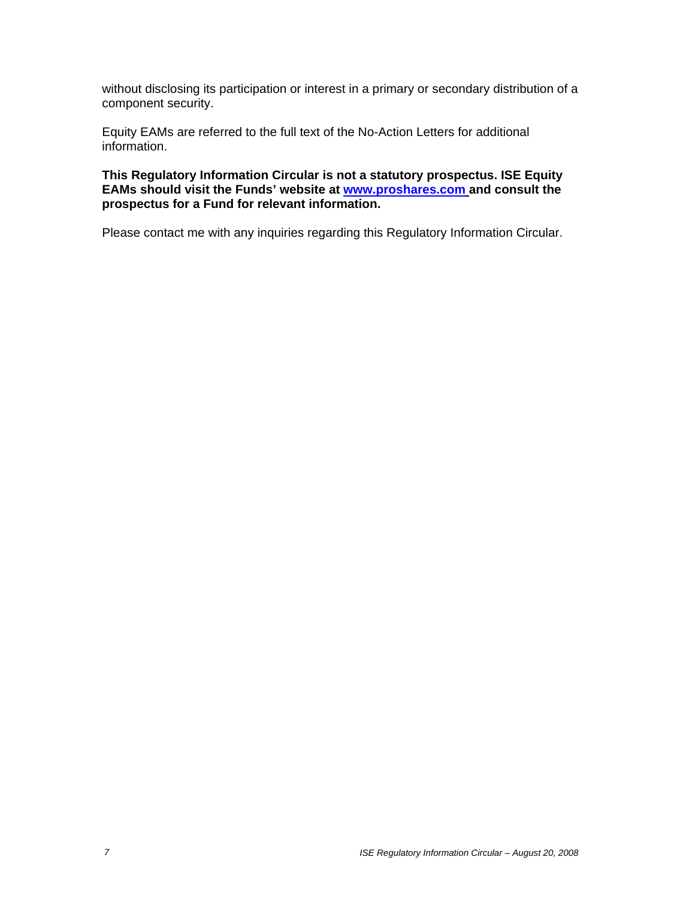without disclosing its participation or interest in a primary or secondary distribution of a component security.

Equity EAMs are referred to the full text of the No-Action Letters for additional information.

**This Regulatory Information Circular is not a statutory prospectus. ISE Equity EAMs should visit the Funds' website at www.proshares.com and consult the prospectus for a Fund for relevant information.** 

Please contact me with any inquiries regarding this Regulatory Information Circular.